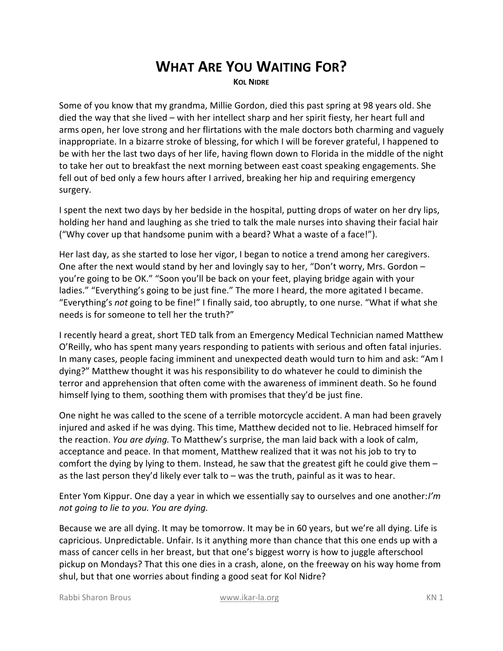## **WHAT ARE YOU WAITING FOR?**

**KOL NIDRE**

Some of you know that my grandma, Millie Gordon, died this past spring at 98 years old. She died the way that she lived – with her intellect sharp and her spirit fiesty, her heart full and arms open, her love strong and her flirtations with the male doctors both charming and vaguely inappropriate. In a bizarre stroke of blessing, for which I will be forever grateful, I happened to be with her the last two days of her life, having flown down to Florida in the middle of the night to take her out to breakfast the next morning between east coast speaking engagements. She fell out of bed only a few hours after I arrived, breaking her hip and requiring emergency surgery.

I spent the next two days by her bedside in the hospital, putting drops of water on her dry lips, holding her hand and laughing as she tried to talk the male nurses into shaving their facial hair ("Why cover up that handsome punim with a beard? What a waste of a face!").

Her last day, as she started to lose her vigor, I began to notice a trend among her caregivers. One after the next would stand by her and lovingly say to her, "Don't worry, Mrs. Gordon – you're going to be OK." "Soon you'll be back on your feet, playing bridge again with your ladies." "Everything's going to be just fine." The more I heard, the more agitated I became. "Everything's *not* going to be fine!" I finally said, too abruptly, to one nurse. "What if what she needs is for someone to tell her the truth?"

I recently heard a great, short TED talk from an Emergency Medical Technician named Matthew O'Reilly, who has spent many years responding to patients with serious and often fatal injuries. In many cases, people facing imminent and unexpected death would turn to him and ask: "Am I dying?" Matthew thought it was his responsibility to do whatever he could to diminish the terror and apprehension that often come with the awareness of imminent death. So he found himself lying to them, soothing them with promises that they'd be just fine.

One night he was called to the scene of a terrible motorcycle accident. A man had been gravely injured and asked if he was dying. This time, Matthew decided not to lie. Hebraced himself for the reaction. *You are dying.* To Matthew's surprise, the man laid back with a look of calm, acceptance and peace. In that moment, Matthew realized that it was not his job to try to comfort the dying by lying to them. Instead, he saw that the greatest gift he could give them – as the last person they'd likely ever talk to – was the truth, painful as it was to hear.

Enter Yom Kippur. One day a year in which we essentially say to ourselves and one another: *I'm not going to lie to you. You are dying.*

Because we are all dying. It may be tomorrow. It may be in 60 years, but we're all dying. Life is capricious. Unpredictable. Unfair. Is it anything more than chance that this one ends up with a mass of cancer cells in her breast, but that one's biggest worry is how to juggle afterschool pickup on Mondays? That this one dies in a crash, alone, on the freeway on his way home from shul, but that one worries about finding a good seat for Kol Nidre?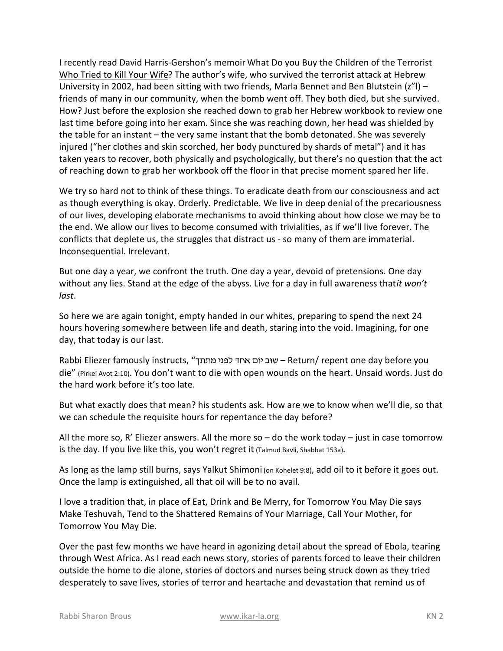I recently read David Harris-Gershon's memoir What Do you Buy the Children of the Terrorist Who Tried to Kill Your Wife? The author's wife, who survived the terrorist attack at Hebrew University in 2002, had been sitting with two friends, Marla Bennet and Ben Blutstein  $(z<sup>n</sup>)$  – friends of many in our community, when the bomb went off. They both died, but she survived. How? Just before the explosion she reached down to grab her Hebrew workbook to review one last time before going into her exam. Since she was reaching down, her head was shielded by the table for an instant – the very same instant that the bomb detonated. She was severely injured ("her clothes and skin scorched, her body punctured by shards of metal") and it has taken years to recover, both physically and psychologically, but there's no question that the act of reaching down to grab her workbook off the floor in that precise moment spared her life.

We try so hard not to think of these things. To eradicate death from our consciousness and act as though everything is okay. Orderly. Predictable. We live in deep denial of the precariousness of our lives, developing elaborate mechanisms to avoid thinking about how close we may be to the end. We allow our lives to become consumed with trivialities, as if we'll live forever. The conflicts that deplete us, the struggles that distract us - so many of them are immaterial. Inconsequential. Irrelevant.

But one day a year, we confront the truth. One day a year, devoid of pretensions. One day without any lies. Stand at the edge of the abyss. Live for a day in full awareness thatit won't *last*.

So here we are again tonight, empty handed in our whites, preparing to spend the next 24 hours hovering somewhere between life and death, staring into the void. Imagining, for one day, that today is our last.

Rabbi Eliezer famously instructs, "שוב יום אחד לפני מתתך – Return/ repent one day before you die" (Pirkei Avot 2:10). You don't want to die with open wounds on the heart. Unsaid words. Just do the hard work before it's too late.

But what exactly does that mean? his students ask. How are we to know when we'll die, so that we can schedule the requisite hours for repentance the day before?

All the more so, R' Eliezer answers. All the more so  $-$  do the work today  $-$  just in case tomorrow is the day. If you live like this, you won't regret it (Talmud Bavli, Shabbat 153a).

As long as the lamp still burns, says Yalkut Shimoni (on Kohelet 9:8), add oil to it before it goes out. Once the lamp is extinguished, all that oil will be to no avail.

I love a tradition that, in place of Eat, Drink and Be Merry, for Tomorrow You May Die says Make Teshuvah, Tend to the Shattered Remains of Your Marriage, Call Your Mother, for Tomorrow You May Die.

Over the past few months we have heard in agonizing detail about the spread of Ebola, tearing through West Africa. As I read each news story, stories of parents forced to leave their children outside the home to die alone, stories of doctors and nurses being struck down as they tried desperately to save lives, stories of terror and heartache and devastation that remind us of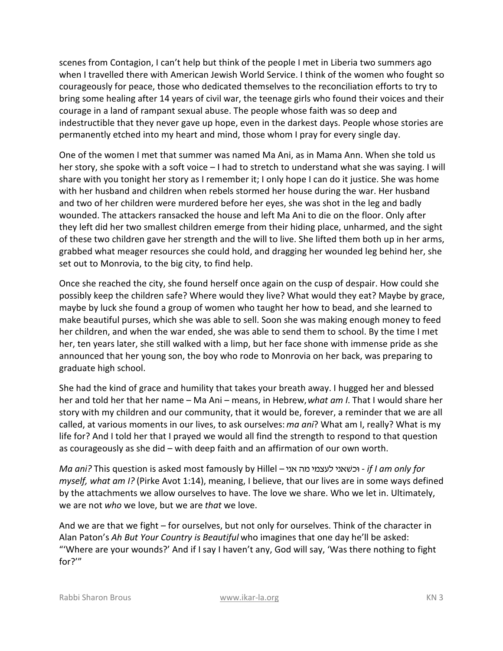scenes from Contagion, I can't help but think of the people I met in Liberia two summers ago when I travelled there with American Jewish World Service. I think of the women who fought so courageously for peace, those who dedicated themselves to the reconciliation efforts to try to bring some healing after 14 years of civil war, the teenage girls who found their voices and their courage in a land of rampant sexual abuse. The people whose faith was so deep and indestructible that they never gave up hope, even in the darkest days. People whose stories are permanently etched into my heart and mind, those whom I pray for every single day.

One of the women I met that summer was named Ma Ani, as in Mama Ann. When she told us her story, she spoke with a soft voice – I had to stretch to understand what she was saying. I will share with you tonight her story as I remember it; I only hope I can do it justice. She was home with her husband and children when rebels stormed her house during the war. Her husband and two of her children were murdered before her eyes, she was shot in the leg and badly wounded. The attackers ransacked the house and left Ma Ani to die on the floor. Only after they left did her two smallest children emerge from their hiding place, unharmed, and the sight of these two children gave her strength and the will to live. She lifted them both up in her arms, grabbed what meager resources she could hold, and dragging her wounded leg behind her, she set out to Monrovia, to the big city, to find help.

Once she reached the city, she found herself once again on the cusp of despair. How could she possibly keep the children safe? Where would they live? What would they eat? Maybe by grace, maybe by luck she found a group of women who taught her how to bead, and she learned to make beautiful purses, which she was able to sell. Soon she was making enough money to feed her children, and when the war ended, she was able to send them to school. By the time I met her, ten years later, she still walked with a limp, but her face shone with immense pride as she announced that her young son, the boy who rode to Monrovia on her back, was preparing to graduate high school.

She had the kind of grace and humility that takes your breath away. I hugged her and blessed her and told her that her name – Ma Ani – means, in Hebrew, *what am I*. That I would share her story with my children and our community, that it would be, forever, a reminder that we are all called, at various moments in our lives, to ask ourselves: *ma ani*? What am I, really? What is my life for? And I told her that I prayed we would all find the strength to respond to that question as courageously as she did – with deep faith and an affirmation of our own worth.

*Ma ani?* This question is asked most famously by Hillel – ip` dn invrl ip`WkE *- if I am only for myself, what am I?* (Pirke Avot 1:14), meaning, I believe, that our lives are in some ways defined by the attachments we allow ourselves to have. The love we share. Who we let in. Ultimately, we are not *who* we love, but we are *that* we love.

And we are that we fight – for ourselves, but not only for ourselves. Think of the character in Alan Paton's *Ah But Your Country is Beautiful* who imagines that one day he'll be asked: "'Where are your wounds?' And if I say I haven't any, God will say, 'Was there nothing to fight for?'"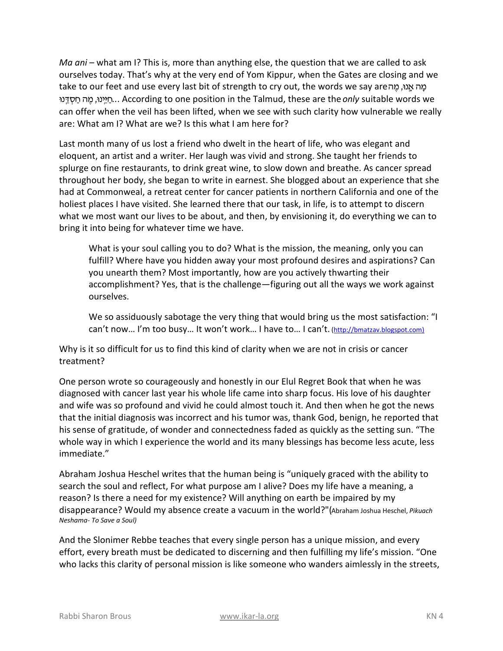*Ma ani* – what am I? This is, more than anything else, the question that we are called to ask ourselves today. That's why at the very end of Yom Kippur, when the Gates are closing and we take to our feet and use every last bit of strength to cry out, the words we say are כמה אמוּ, מֵה EpC«¥q§ g© dn¤ ,Epi«¥Ig©*..*. According to one position in the Talmud, these are the *only* suitable words we can offer when the veil has been lifted, when we see with such clarity how vulnerable we really are: What am I? What are we? Is this what I am here for?

Last month many of us lost a friend who dwelt in the heart of life, who was elegant and eloquent, an artist and a writer. Her laugh was vivid and strong. She taught her friends to splurge on fine restaurants, to drink great wine, to slow down and breathe. As cancer spread throughout her body, she began to write in earnest. She blogged about an experience that she had at Commonweal, a retreat center for cancer patients in northern California and one of the holiest places I have visited. She learned there that our task, in life, is to attempt to discern what we most want our lives to be about, and then, by envisioning it, do everything we can to bring it into being for whatever time we have.

What is your soul calling you to do? What is the mission, the meaning, only you can fulfill? Where have you hidden away your most profound desires and aspirations? Can you unearth them? Most importantly, how are you actively thwarting their accomplishment? Yes, that is the challenge—figuring out all the ways we work against ourselves.

We so assiduously sabotage the very thing that would bring us the most satisfaction: "I can't now... I'm too busy... It won't work... I have to... I can't. (http://bmatzav.blogspot.com)

Why is it so difficult for us to find this kind of clarity when we are not in crisis or cancer treatment?

One person wrote so courageously and honestly in our Elul Regret Book that when he was diagnosed with cancer last year his whole life came into sharp focus. His love of his daughter and wife was so profound and vivid he could almost touch it. And then when he got the news that the initial diagnosis was incorrect and his tumor was, thank God, benign, he reported that his sense of gratitude, of wonder and connectedness faded as quickly as the setting sun. "The whole way in which I experience the world and its many blessings has become less acute, less immediate."

Abraham Joshua Heschel writes that the human being is "uniquely graced with the ability to search the soul and reflect, For what purpose am I alive? Does my life have a meaning, a reason? Is there a need for my existence? Will anything on earth be impaired by my disappearance? Would my absence create a vacuum in the world?"(Abraham Joshua Heschel, *Pikuach Neshama- To Save a Soul)* 

And the Slonimer Rebbe teaches that every single person has a unique mission, and every effort, every breath must be dedicated to discerning and then fulfilling my life's mission. "One who lacks this clarity of personal mission is like someone who wanders aimlessly in the streets,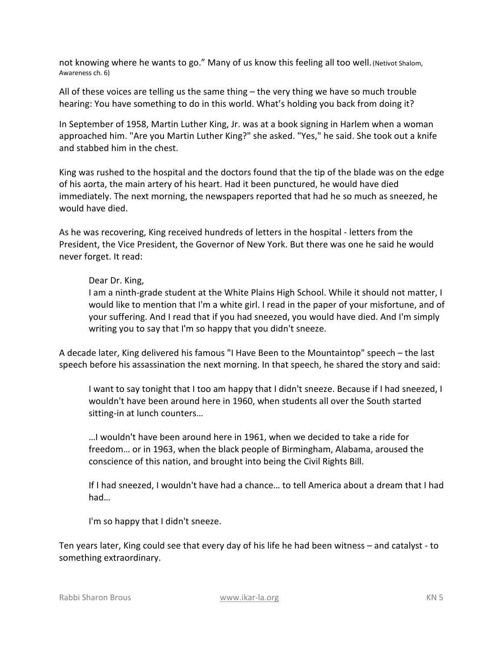not knowing where he wants to go." Many of us know this feeling all too well. (Netivot Shalom, Awareness ch. 6)

All of these voices are telling us the same thing – the very thing we have so much trouble hearing: You have something to do in this world. What's holding you back from doing it?

In September of 1958, Martin Luther King, Jr. was at a book signing in Harlem when a woman approached him. "Are you Martin Luther King?" she asked. "Yes," he said. She took out a knife and stabbed him in the chest.

King was rushed to the hospital and the doctors found that the tip of the blade was on the edge of his aorta, the main artery of his heart. Had it been punctured, he would have died immediately. The next morning, the newspapers reported that had he so much as sneezed, he would have died.

As he was recovering, King received hundreds of letters in the hospital - letters from the President, the Vice President, the Governor of New York. But there was one he said he would never forget. It read:

## Dear Dr. King,

I am a ninth-grade student at the White Plains High School. While it should not matter, I would like to mention that I'm a white girl. I read in the paper of your misfortune, and of your suffering. And I read that if you had sneezed, you would have died. And I'm simply writing you to say that I'm so happy that you didn't sneeze.

A decade later, King delivered his famous "I Have Been to the Mountaintop" speech – the last speech before his assassination the next morning. In that speech, he shared the story and said:

I want to say tonight that I too am happy that I didn't sneeze. Because if I had sneezed, I wouldn't have been around here in 1960, when students all over the South started sitting-in at lunch counters…

…I wouldn't have been around here in 1961, when we decided to take a ride for freedom… or in 1963, when the black people of Birmingham, Alabama, aroused the conscience of this nation, and brought into being the Civil Rights Bill.

If I had sneezed, I wouldn't have had a chance… to tell America about a dream that I had had…

I'm so happy that I didn't sneeze.

Ten years later, King could see that every day of his life he had been witness – and catalyst - to something extraordinary.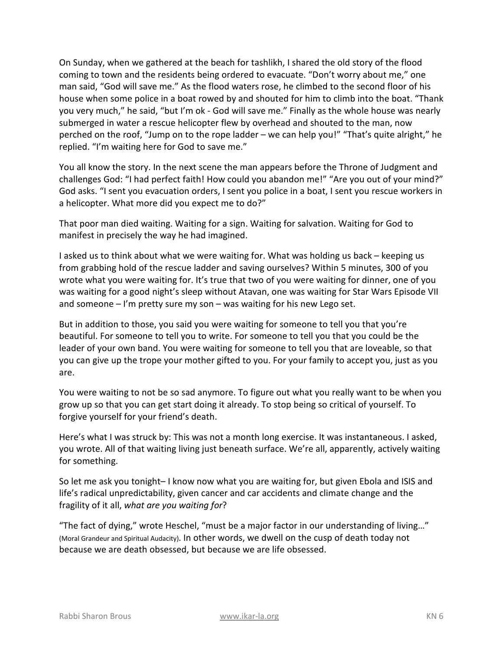On Sunday, when we gathered at the beach for tashlikh, I shared the old story of the flood coming to town and the residents being ordered to evacuate. "Don't worry about me," one man said, "God will save me." As the flood waters rose, he climbed to the second floor of his house when some police in a boat rowed by and shouted for him to climb into the boat. "Thank you very much," he said, "but I'm ok - God will save me." Finally as the whole house was nearly submerged in water a rescue helicopter flew by overhead and shouted to the man, now perched on the roof, "Jump on to the rope ladder – we can help you!" "That's quite alright," he replied. "I'm waiting here for God to save me."

You all know the story. In the next scene the man appears before the Throne of Judgment and challenges God: "I had perfect faith! How could you abandon me!" "Are you out of your mind?" God asks. "I sent you evacuation orders, I sent you police in a boat, I sent you rescue workers in a helicopter. What more did you expect me to do?"

That poor man died waiting. Waiting for a sign. Waiting for salvation. Waiting for God to manifest in precisely the way he had imagined.

I asked us to think about what we were waiting for. What was holding us back – keeping us from grabbing hold of the rescue ladder and saving ourselves? Within 5 minutes, 300 of you wrote what you were waiting for. It's true that two of you were waiting for dinner, one of you was waiting for a good night's sleep without Atavan, one was waiting for Star Wars Episode VII and someone – I'm pretty sure my son – was waiting for his new Lego set.

But in addition to those, you said you were waiting for someone to tell you that you're beautiful. For someone to tell you to write. For someone to tell you that you could be the leader of your own band. You were waiting for someone to tell you that are loveable, so that you can give up the trope your mother gifted to you. For your family to accept you, just as you are.

You were waiting to not be so sad anymore. To figure out what you really want to be when you grow up so that you can get start doing it already. To stop being so critical of yourself. To forgive yourself for your friend's death.

Here's what I was struck by: This was not a month long exercise. It was instantaneous. I asked, you wrote. All of that waiting living just beneath surface. We're all, apparently, actively waiting for something.

So let me ask you tonight– I know now what you are waiting for, but given Ebola and ISIS and life's radical unpredictability, given cancer and car accidents and climate change and the fragility of it all, *what are you waiting for*?

"The fact of dying," wrote Heschel, "must be a major factor in our understanding of living…" (Moral Grandeur and Spiritual Audacity). In other words, we dwell on the cusp of death today not because we are death obsessed, but because we are life obsessed.